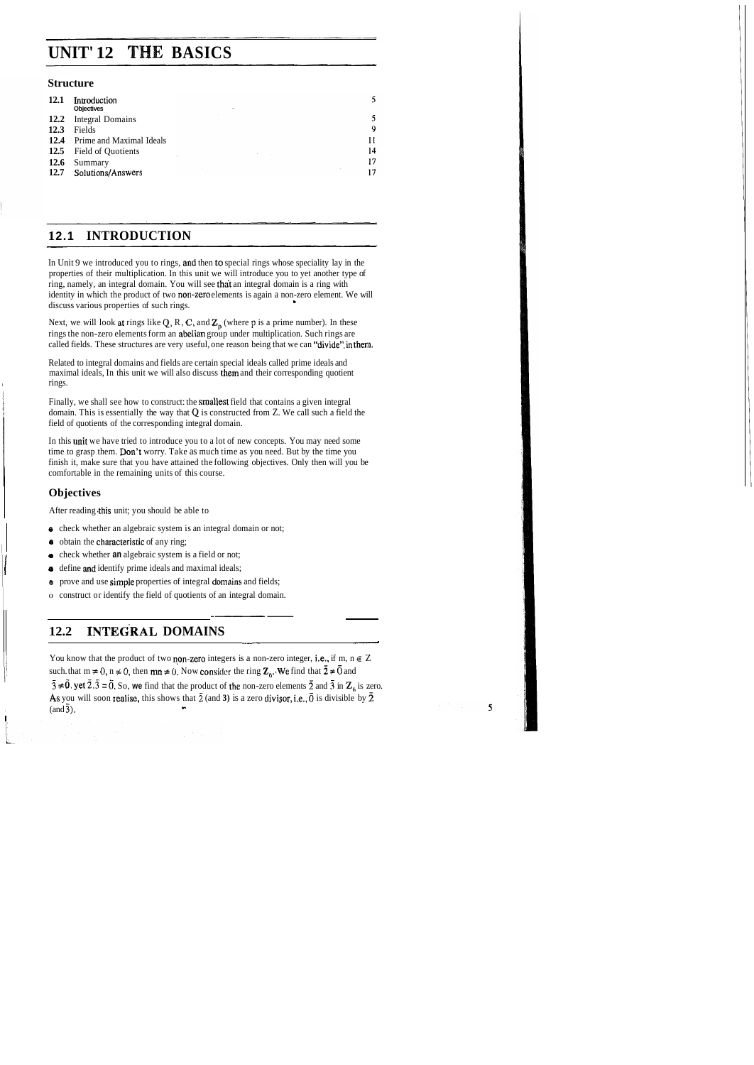# **UNIT' 12 THE BASICS**

### **Structure**

| <b>12.1</b> | Introduction<br><b>Objectives</b><br>$\cdots$ |    |
|-------------|-----------------------------------------------|----|
|             | 12.2 Integral Domains                         |    |
| 12.3        | Fields                                        | 9  |
|             | <b>12.4</b> Prime and Maximal Ideals          | 11 |
|             | 12.5 Field of Quotients                       | 14 |
| <b>12.6</b> | Summary                                       | 17 |
| 12.7        | Solutions/Answers                             | 17 |

### **1 2.1 INTRODUCTION**

In Unit 9 we introduced you to rings, and then to special rings whose speciality lay in the properties of their multiplication. In this unit we will introduce you to yet another type of ring, namely, an integral domain. You will see that an integral domain is a ring with identity in which the product of two non-zero elements is again a non-zero element. We will discuss various properties of such rings. **<sup>b</sup>**

Next, we will look at rings like  $Q$ , R, C, and  $Z_p$  (where  $p$  is a prime number). In these rings the non-zero elements form an abelian group under multiplication. Such rings are called fields. These structures are very useful, one reason being that we can "divide" in them.

Related to integral domains and fields are certain special ideals called prime ideals and maximal ideals, In this unit we will also discuss them and their corresponding quotient rings.

Finally, we shall see how to construct: the smallest field that contains a given integral domain. This is essentially the way that **Q** is constructed from Z. We call such a field the field of quotients of the corresponding integral domain.

In this unit we have tried to introduce you to a lot of new concepts. You may need some time to grasp them. Don't worry. Take as much time as you need. But by the time you finish it, make sure that you have attained the following objectives. Only then will you be comfortable in the remaining units of this course.

### **Objectives**

After reading this unit; you should be able to

- **0** check whether an algebraic system is an integral domain or not;
- $\bullet$  obtain the characteristic of any ring;
- 
- check whether **an** algebraic system is a field or not;<br>• define and identify prime ideals and maximal ideals;
	- **e** prove and use simple properties of integral domains and fields;
- 0 construct or identify the field of quotients of an integral domain. - -- ----

# • denne and identity prime ideals and maximal ideals;<br>
• prove and use simple properties of integral domains and fields;<br>
• construct or identify the field of quotients of an integral domain.<br> **12.2 INTEGRAL DOMAINS**<br>
You

You know that the product of two non-zero integers is a non-zero integer, i.e., if m,  $n \in \mathbb{Z}$ such. that  $m \neq 0$ ,  $n \neq 0$ , then  $mn \neq 0$ . Now consider the ring  $\mathbb{Z}_6$ . We find that  $\bar{2} \neq \bar{0}$  and  $\overline{3} \neq \overline{0}$ , yet  $\overline{2} \cdot \overline{3} = \overline{0}$ , So, we find that the product of the non-zero elements  $\overline{2}$  and  $\overline{3}$  in  $\overline{2}_6$  is zero. As you will soon realise, this shows that  $\bar{2}$  (and 3) is a zero divisor, i.e.,  $\bar{0}$  is divisible by  $\bar{2}$  $($ and  $\overline{3})$ .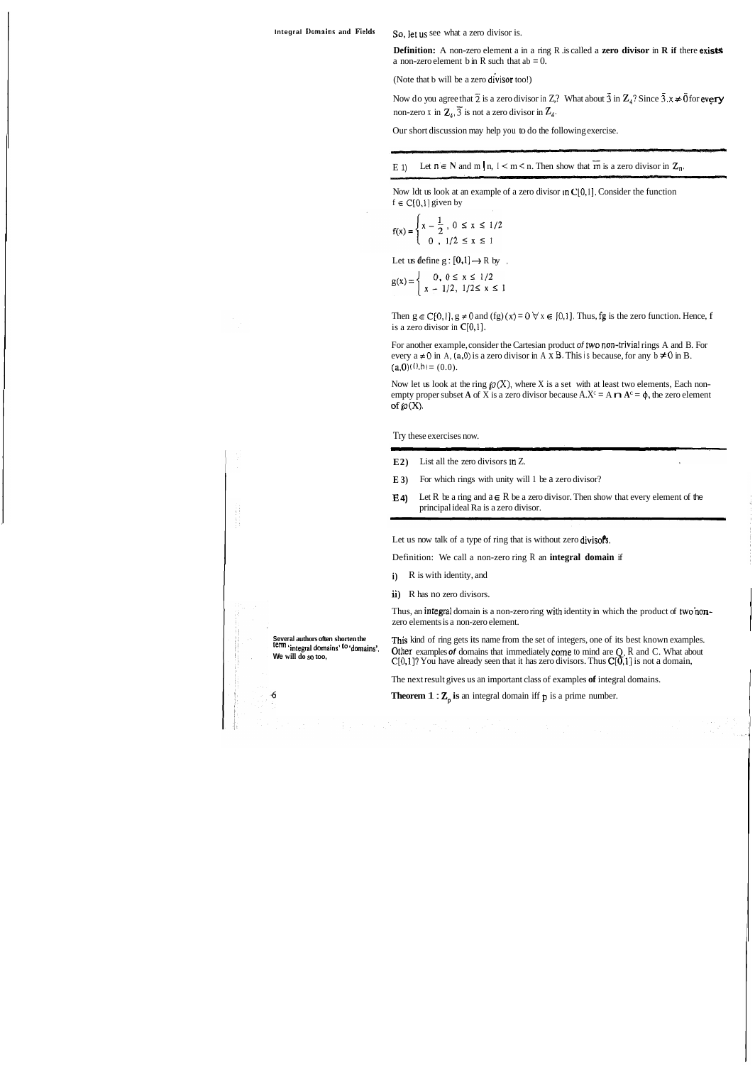**Definition:** A non-zero element a in a ring R is called a **zero divisor in R if there exists** a non-zero element b in R such that  $ab = 0$ .

(Note that b will be a zero divisor too!)

Now do you agree that  $\overline{2}$  is a zero divisor in Z? What about  $\overline{3}$  in  $\mathbb{Z}_4$ ? Since  $\overline{3}$ .x  $\neq \overline{0}$  for every non-zero x in  $\mathbb{Z}_4$ ,  $\overline{3}$  is not a zero divisor in  $\mathbb{Z}_4$ .

Then  $g \in C[0, 1]$ ,  $g \neq 0$  and (fg)  $(x) = 0 \forall x \in [0, 1]$ . Thus, fg is the zero function. Hence, f is a zero divisor in C[0,1].

For another example, consider the Cartesian product of two non-trivial rings A and B. For every  $a \neq 0$  in A,  $(a, 0)$  is a zero divisor in A x B. This is because, for any  $b \neq 0$  in B.  $(a,0)$   $(0,b) = (0,0)$ .

Now let us look at the ring  $\mathcal{P}(X)$ , where X is a set with at least two elements, Each nonempty proper subset **A** of X is a zero divisor because  $A.X^c = A \cap A^c = \emptyset$ , the zero element of  $\wp(X)$ .

Our short discussion may help you to do the following exercise.

E 1) Let  $n \in N$  and  $m \mid n, 1 \le m \le n$ . Then show that  $\overline{m}$  is a zero divisor in  $\mathbb{Z}_{n}$ .

Now ldt us look at an example of a zero divisor in  $C[0,1]$ . Consider the function  $f \in C[0,1]$  given by

$$
f(x) = \begin{cases} x - \frac{1}{2}, & 0 \le x \le 1/2 \\ 0, & 1/2 \le x \le 1 \end{cases}
$$

Let us define  $g : [0,1] \rightarrow R$  by,

 $g(x) = \begin{cases} 0, & 0 \le x \le 1/2 \\ x - 1/2, & 1/2 \le x \le 1 \end{cases}$ 

Try these exercises now. en<br>1960 - Antonio Barrison, amerikansk konstnär<br>1960 - Antonio Barrison, amerikansk konstnär

- **E2)** List all the zero divisors in Z.
- **E 3)** For which rings with unity will 1 be a zero divisor?
- **E 4)** Let R be a ring and  $a \in R$  be a zero divisor. Then show that every element of the principal ideal Ra is a zero divisor.

Let us now talk of a type of ring that is without zero divisofs.

Definition: We call a non-zero ring R an **integral domain** if

- **i**) **R** is with identity, and
- ii) R has no zero divisors.

Thus, an integral domain is a non-zero ring wilh identity in which the product of two'nonzero elements is a non-zero element.

**Several authors often shorten the This kind of ring gets its name from the set of integers, one of its best known examples.**<br> **Community** integral domains' <sup>to</sup> 'domains'. Other examples of domains that immediately come **Examples of** domains that immediately come to mind are  $Q$ , R and C. What about we will do so too,  $C[0,1]$ ? You have already seen that it has zero divisors. Thus  $C[0,1]$  is not a domain,

The next result gives us an important class of examples **of** integral domains.

**Theorem 1 :**  $\mathbb{Z}_p$  **is an integral domain iff**  $p$  **is a prime number.** 

 $\ddot{\mathbf{6}}$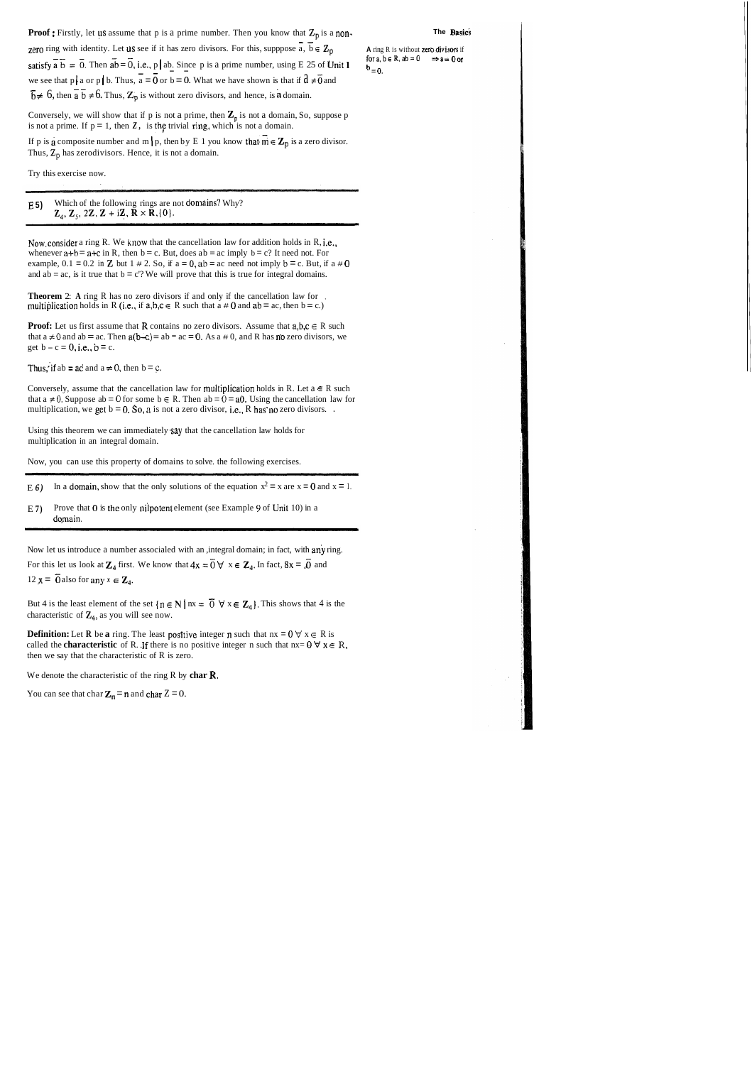**Proof**: Firstly, let us assume that p is a prime number. Then you know that  $\mathbb{Z}_p$  is a non-<br>**zero** ring with identity. Let us see if it has zero divisors. For this, supppose  $\overline{a}$ ,  $\overline{b} \in \mathbb{Z}_p$  **A** ring R is

for  $a, b \in R$ ,  $ab = 0$   $\Rightarrow a = 0$  or

satisfy  $\overline{a} \ \overline{b} = \overline{0}$ . Then  $\overline{ab} = \overline{0}$ , i.e., p ab. Since p is a prime number, using E 25 of Unit 1  $b = 0$ .<br>we see that p a or p b. Thus,  $\overline{a} = \overline{0}$  or b = 0. What we have shown is that if  $a \neq \overline{0}$   $\overline{b} \neq 6$ , then  $\overline{a} \overline{b} \neq 6$ . Thus,  $\mathbb{Z}_p$  is without zero divisors, and hence, is a domain.

Conversely, we will show that if p is not a prime, then  $\mathbb{Z}_p$  is not a domain, So, suppose p is not a prime. If  $p = 1$ , then Z, is the trivial ring, which is not a domain.

If p is a composite number and m | p, then by E 1 you know that  $m \in \mathbb{Z}_p$  is a zero divisor. Thus,  $Z_p$  has zerodivisors. Hence, it is not a domain.

E **5)** Which of the following rings are not domains? Why?  $\mathbf{Z}_4$ ,  $\mathbf{Z}_5$ , 2 $\mathbf{Z}$ ,  $\mathbf{Z}$  + i $\mathbf{Z}$ ,  $\mathbf{R} \times \mathbf{R}$ , {0}.

Now.consider a ring R. We know that the cancellation law for addition holds in R, i.e., whenever  $a+b = a+c$  in R, then  $b = c$ . But, does  $ab = ac$  imply  $b = c$ ? It need not. For example,  $0.1 = 0.2$  in **Z** but  $1 \neq 2$ . So, if  $a = 0$ ,  $ab = ac$  need not imply  $b = c$ . But, if  $a \neq 0$ and  $ab = ac$ , is it true that  $b = c$ ? We will prove that this is true for integral domains.

**Theorem** 2: A ring R has no zero divisors if and only if the cancellation law for multiplication holds in R (i.e., if  $a,b,c \in R$  such that  $a \ne 0$  and  $ab = ac$ , then  $b = c$ .)

**Proof:** Let us first assume that **R** contains no zero divisors. Assume that  $a, b, c \in R$  such that  $a \neq 0$  and  $ab = ac$ . Then  $a(b-c) = ab = ac = 0$ . As a  $\neq 0$ , and R has no zero divisors, we get  $b - c = 0$ , i.e.,  $b = c$ .

Thus, if ab = ac and  $a \ne 0$ , then  $b = c$ .

Conversely, assume that the cancellation law for multiplication holds in R. Let  $a \in R$  such that  $a \neq 0$ . Suppose ab = 0 for some  $b \in R$ . Then  $ab = 0 = a0$ . Using the cancellation law for multiplication, we get  $b = 0$ . So, a is not a zero divisor, i.e., R has no zero divisors. .

Try this exercise now.

Using this theorem we can immediately say that the cancellation law holds for multiplication in an integral domain.

**Definition:** Let **R** be **a** ring. The least positive integer **n** such that  $nx = 0$   $\forall x \in R$  is called the **characteristic** of R. If there is no positive integer n such that  $nx = 0$   $\forall x \in R$ , then we say that the characteristic of R is zero.

Now, you can use this property of domains to solve. the following exercises.

E 6) In a domain, show that the only solutions of the equation  $x^2 = x$  are  $x = 0$  and  $x = 1$ .

E 7) Prove that  $\theta$  is the only nilpotent element (see Example 9 of Unit 10) in a domain.

Now let us introduce a number associaled with an ,integral domain; in fact, with any ring. For this let us look at  $\mathbb{Z}_4$  first. We know that  $4x = 0 \forall x \in \mathbb{Z}_4$ . In fact,  $8x = 0$  and  $12x = 25$ ,  $\therefore$ 12  $x = \overline{0}$  also for any  $x \in \mathbb{Z}_4$ .

But 4 is the least element of the set  $\{n \in \mathbb{N} \mid nx = \overline{0} \forall x \in \mathbb{Z}_4\}$ . This shows that 4 is the characteristic of  $\mathbb{Z}_4$ , as you will see now.

We denote the characteristic of the ring R by **char R.** 

You can see that char  $Z_n = n$  and char  $Z = 0$ .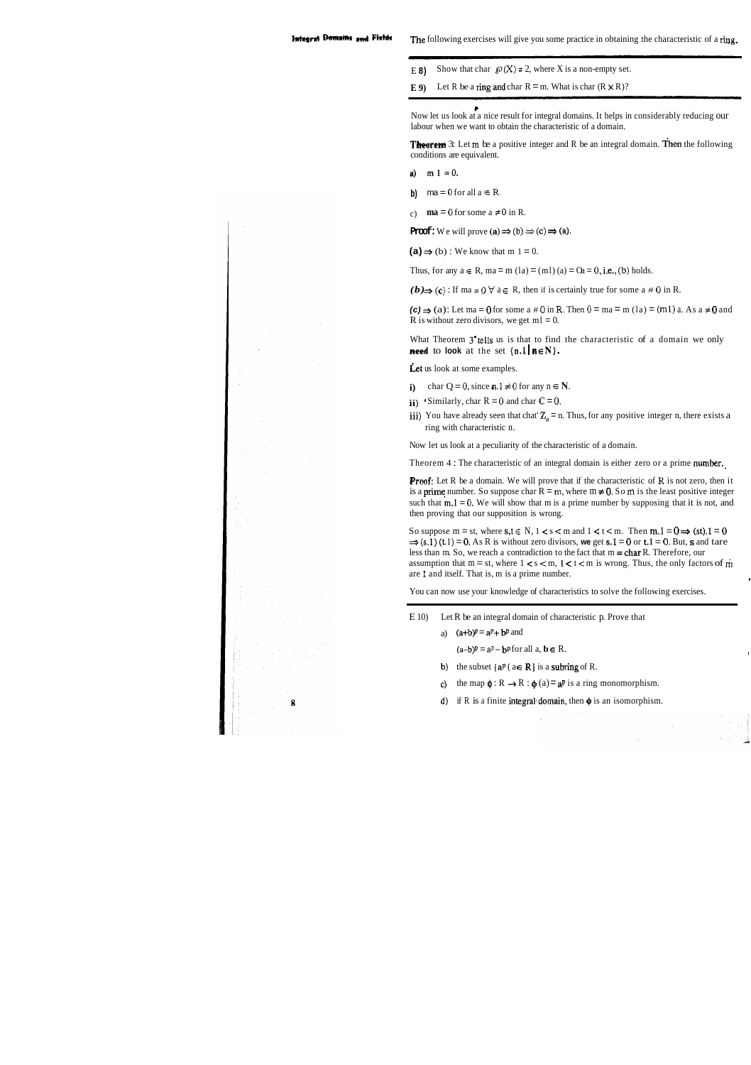- E 8) Show that char  $\mathcal{P}(X) = 2$ , where X is a non-empty set.
- **E 9)** Let R be a ring and char  $R = m$ . What is char  $(R \times R)$ ?

Now let us look at a nice result for integral domains. It helps in considerably reducing our labour when we want to obtain the characteristic of a domain.

**Theorem** 3: Let m be a positive integer and R be an integral domain. Then the following conditions are equivalent.

- a)  $m 1 = 0$ .
- **b)**  $ma = 0$  for all  $a \in R$ .
- c) **ma** = 0 for some a  $\neq$  0 in R.

**Proof:** We will prove  $(a) \Rightarrow (b) \Rightarrow (c) \Rightarrow (a)$ .

 $(a) \Rightarrow (b)$ : We know that m 1 = 0.

Thus, for any  $a \in R$ ,  $ma = m(\text{la}) = (ml)(a) = \text{Oa} = 0$ , i.e., (b) holds.

*(b)*  $\rightarrow$  (c) : If ma = 0  $\forall$  a ∈ R, then if is certainly true for some a # 0 in R.

 $(c) \Rightarrow (a)$ : Let ma = 0 for some a # 0 in R. Then  $0 = ma = m (la) = (m1) a$ . As a  $\neq 0$  and R is without zero divisors, we get  $ml = 0$ .

What Theorem 3<sup>'</sup>tells us is that to find the characteristic of a domain we only **need** to **look** at the set  $\{n.1 | n \in \mathbb{N}\}.$ 

Let us look at some examples.

- **i)** char  $Q = 0$ , since **n**.  $1 \neq 0$  for any  $n \in \mathbb{N}$ .
- **ii**) Similarly, char  $R = 0$  and char  $C = 0$ .
- iii) You have already seen that chat  $\mathbb{Z}_n = n$ . Thus, for any positive integer n, there exists a ring with characteristic n.

**Proof:** Let R be a domain. We will prove that if the characteristic of R is not zero, then it is a **prime** number. So suppose char  $R = m$ , where  $m \neq 0$ . So  $m$  is the least positive integer such that  $m, l = 0$ . We will show that m is a prime number by supposing that it is not, and then proving that our supposition is wrong.

So suppose m = st, where  $s, t \in N$ ,  $1 \le s \le m$  and  $1 \le t \le m$ . Then  $m, 1 = 0 \Rightarrow (st)$ .  $1 = 0$   $\Rightarrow$   $(s, 1)$  (t.1) = 0. As R is without zero divisors, we get  $s, 1 = 0$  or  $t, 1 = 0$ . But, s and tare less than m. So, we reach a contradiction to the fact that  $m = char R$ . Therefore, our assumption that  $m = st$ , where  $1 < s < m$ ,  $1 < t < m$  is wrong. Thus, the only factors of m are 1 and itself. That is, m is a prime number.

- E 10) Let R be an integral domain of characteristic p. Prove that
	- a)  $(a+b)^p = a^p + b^p$  and

 $(a-b)^p = a^p - b^p$  for all  $a, b \in R$ .

- **b**) the subset  $\{a^p \mid a \in \mathbb{R}\}$  is a subring of R.
- c) the map  $\phi : \mathbb{R} \to \mathbb{R} : \phi(a) = a^p$  is a ring monomorphism.
- **d)** if R is a finite integral domain, then  $\phi$  is an isomorphism.

Now let us look at a peculiarity of the characteristic of a domain.

Theorem 4 : The characteristic of an integral domain is either zero or a prime number.

You can now use your knowledge of characteristics to solve the following exercises.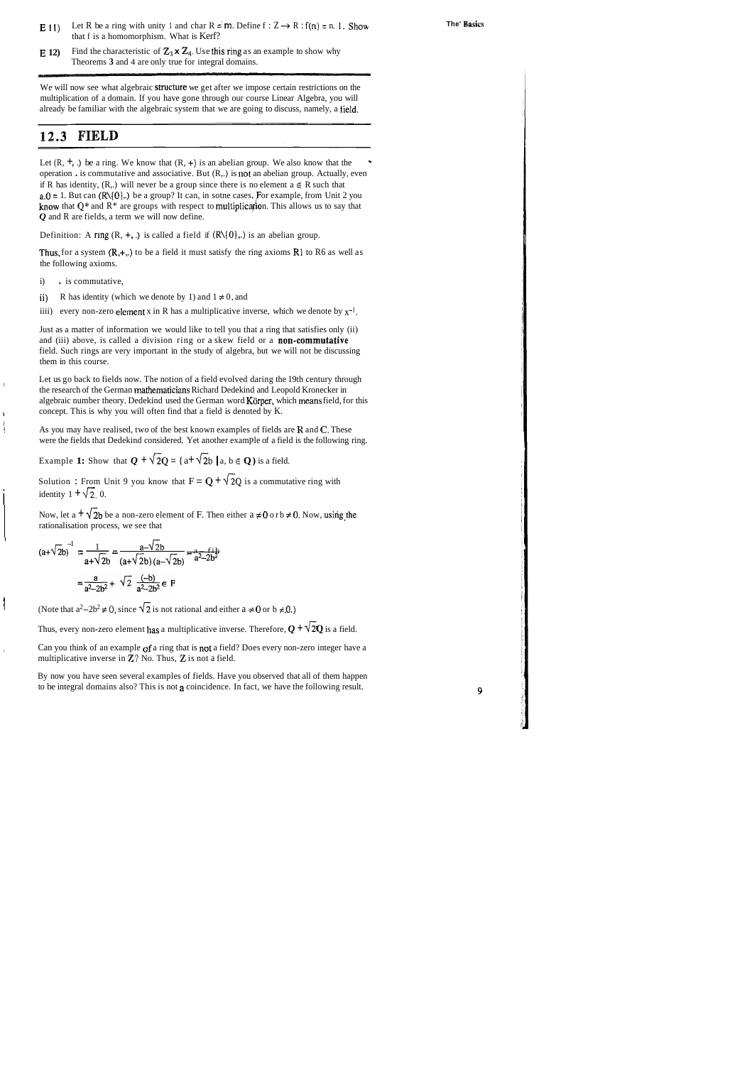**E** 11) Let R be a ring with unity 1 and char R = m. Define  $f : Z \rightarrow R : f(n) = n$ . I. Show that f is a homomorphism. What is Kerf?

**E 12)** Find the characteristic of  $\mathbb{Z}_3$  **x**  $\mathbb{Z}_4$ . Use this ring as an example to show why Theorems **3** and 4 are only true for integral domains.

We will now see what algebraic structure we get after we impose certain restrictions on the multiplication of a domain. If you have gone through our course Linear Algebra, you will already be familiar with the algebraic system that we are going to discuss, namely, a field.

Let  $(R, +, \cdot)$  be a ring. We know that  $(R, +)$  is an abelian group. We also know that the operation  $\cdot$  is commutative and associative. But  $(R,.)$  is not an abelian group. Actually, even if R has identity,  $(R,.)$  will never be a group since there is no element  $a \in R$  such that  $a.0 = 1$ . But can (R\{0},.) be a group? It can, in some cases. For example, from Unit 2 you know that  $Q^*$  and  $R^*$  are groups with respect to multiplication. This allows us to say that *Q* and R are fields, a term we will now define.

Definition: A ring  $(R, +, .)$  is called a field if  $(R\setminus\{0\},.)$  is an abelian group.

### **12.3 FIELD**

Thus, for a system  $(R, +,.)$  to be a field it must satisfy the ring axioms R1 to R6 as well as the following axioms.

i) . is commutative,

Now, let a  $\pm \sqrt{2b}$  be a non-zero element of F. Then either a  $\neq 0$  or  $b \neq 0$ . Now, using the rationalisation process, we see that

 $\Gamma$  Can you think of an example of a ring that is not a field? Does every non-zero integer have a multiplicative inverse in **Z?** No. Thus, **Z** is not a field.

By now you have seen several examples of fields. Have you observed that all of them happen to be integral domains also? This is not a coincidence. In fact, we have the following result.

9

Just as a matter of information we would like to tell you that a ring that satisfies only (ii) and (iii) above, is called a division ring or a skew field or a **non-commutative** field. Such rings are very important in the study of algebra, but we will not be discussing them in this course.

Let us go back to fields now. The notion of a field evolved daring the 19th century through the research of the German **mathematicians** Richard Dedekind and Leopold Kronecker in algebraic number theory. Dedekind used the German word Körper, which means field, for this concept. This is why you will often find that a field is denoted by K.

I

ii) R has identity (which we denote by 1) and  $1 \neq 0$ , and

iiii) every non-zero element x in R has a multiplicative inverse, which we denote by  $x^{-1}$ .

! As you may have realised, two of the best known examples of fields are **H** and **C.** These were the fields that Dedekind considered. Yet another example of a field is the following ring.

Example **1:** Show that  $Q + \sqrt{2}Q = \{a + \sqrt{2}b \mid a, b \in Q\}$  is a field.

Solution : From Unit 9 you know that  $F = Q + \sqrt{2}Q$  is a commutative ring with identity  $1 + \sqrt{2}$ , 0.

Solution: From Unit 9 you know that 
$$
F = Q + \gamma
$$
  
identity  $1 + \sqrt{2}$ , 0.  
Now, let a  $\pm \sqrt{2b}$  be a non-zero element of F. Then  
rationalisation process, we see that  

$$
(a+\sqrt{2b})^{-1} = \frac{1}{a+\sqrt{2b}} = \frac{a-\sqrt{2b}}{(a+\sqrt{2b})(a-\sqrt{2b})} = \frac{a}{a^2-2b^2}
$$

$$
= \frac{a}{a^2-2b^2} + \sqrt{2} \frac{(-b)}{a^2-2b^2} \in F
$$

Note that  $a^2-2b^2 \neq 0$ , since  $\sqrt{2}$  is not rational and either  $a \neq 0$  or  $b \neq 0$ .)

Thus, every non-zero element has a multiplicative inverse. Therefore,  $Q + \sqrt{2}Q$  is a field.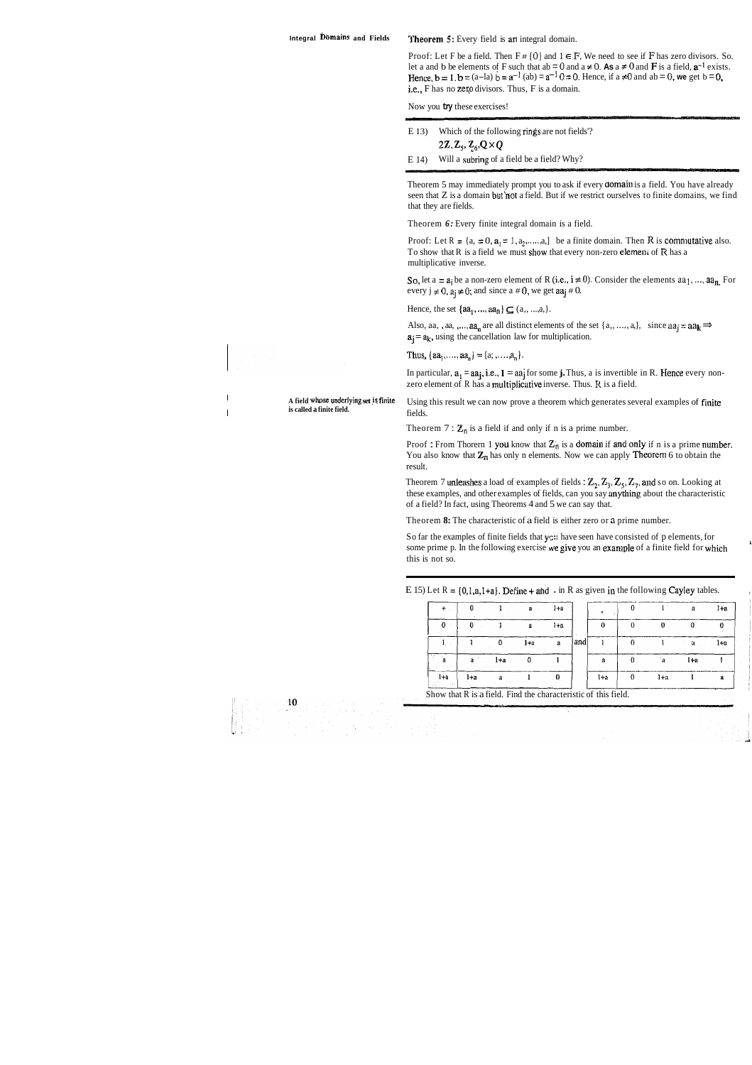Integral Domains and Fields **Theorem 5:** Every field is an integral domain.

Proof: Let F be a field. Then  $F \# \{0\}$  and  $1 \in F$ . We need to see if F has zero divisors. So. let a and b be elements of F such that ab = 0 and a  $\neq$  0. As a  $\neq$  0 and **F** is a field,  $\mathbf{a}^{-1}$  exists.<br>Hence,  $\mathbf{b} = \mathbf{I} \cdot \mathbf{b} = (a-\mathbf{I}a) \mathbf{b} = \mathbf{a}^{-1}$  (ab) =  $\mathbf{a}^{-1} \cdot 0 = 0$ . Hence, if a  $\neq 0$  an i.e., F has no zero divisors. Thus, F is a domain.

Theorem 5 may immediately prompt you to ask if every **domain** is a field. You have already seen that Z is a domain but'not a field. But if we restrict ourselves to finite domains, we find that they are fields.

Now you **try** these exercises!

| E(13) | Which of the following rings are not fields'?               |
|-------|-------------------------------------------------------------|
|       | 2Z, $\mathbb{Z}_5$ , $\mathbb{Z}_6$ , $\mathbb{Q} \times Q$ |
| E 14) | Will a subring of a field be a field? Why?                  |

Proof: Let  $R = \{a, = 0, a\} = 1, a_2, \ldots, a_n\}$  be a finite domain. Then R is commutative also. To show that  $R$  is a field we must show that every non-zero element of  $R$  has a multiplicative inverse.

So, let a =  $a_i$  be a non-zero element of R (i.e.,  $i \neq 0$ ). Consider the elements  $a_{11},..., a_{n}$ . For every  $j \neq 0$ ,  $a_j \neq 0$ ; and since a  $\neq 0$ , we get  $aa_j \neq 0$ .

Hence, the set  $\{aa_1, ..., aa_n\} \subseteq (a_1, ..., a_n).$ 

Also, aa, , aa, , ...,  $aa_n$  are all distinct elements of the set  $\{a_1, \ldots, a_n\}$ , since  $aa_i = aa_k \implies$  $a_i = a_k$ , using the cancellation law for multiplication.

Thus,  $\{aa_1, \ldots, aa_n\} = [a; , \ldots, a_n].$ 

In particular,  $a_1 = aa_i$ , i.e.,  $l = aa_i$  for some **j.** Thus, a is invertible in R. Hence every nonzero element of R has a multiplicative inverse. Thus. R is a field.

A field whose underlying set is finite Using this result we can now prove a theorem which generates several examples of finite **is called a finite field. fields**.

Theorem  $7: \mathbb{Z}_p$  is a field if and only if n is a prime number.

Theorem *6:* Every finite integral domain is a field.

Proof : From Thorern 1 you know that  $Z_n$  is a domain if and only if n is a prime number. You also know that  $\mathbb{Z}_n$  has only n elements. Now we can apply **Theorem** 6 to obtain the result.

Theorem 7 unleashes a load of examples of fields :  $\mathbb{Z}_2$ ,  $\mathbb{Z}_3$ ,  $\mathbb{Z}_5$ ,  $\mathbb{Z}_7$ , and so on. Looking at these examples, and other examples of fields, can you say anything about the characteristic of a field? In fact, using Theorems 4 and 5 we can say that.

So far the examples of finite fields that ys: have seen have consisted of p elements, for some prime p. In the following exercise we give you an example of a finite field for which this is not so.

E 15) Let  $R = \{0, 1, a, 1+a\}$ . Define + and . in R as given in the following Cayley tables.

Theorem **8:** The characteristic of a field is either zero or **n** prime number.

|                                                                |     |       | $\mathbf{a}$ | l+a     |      |     |       | л   | I+a |
|----------------------------------------------------------------|-----|-------|--------------|---------|------|-----|-------|-----|-----|
|                                                                |     |       | а            | $1 + n$ |      |     |       |     |     |
|                                                                |     |       | 1+a          | я       | land |     |       | а   | l+a |
| and a                                                          | å.  | $1+a$ |              |         |      |     |       | I+a |     |
| l+a                                                            | 1+а |       |              |         |      | 1+a | $1+n$ |     |     |
| Show that R is a field. Find the characteristic of this field. |     |       |              |         |      |     |       |     |     |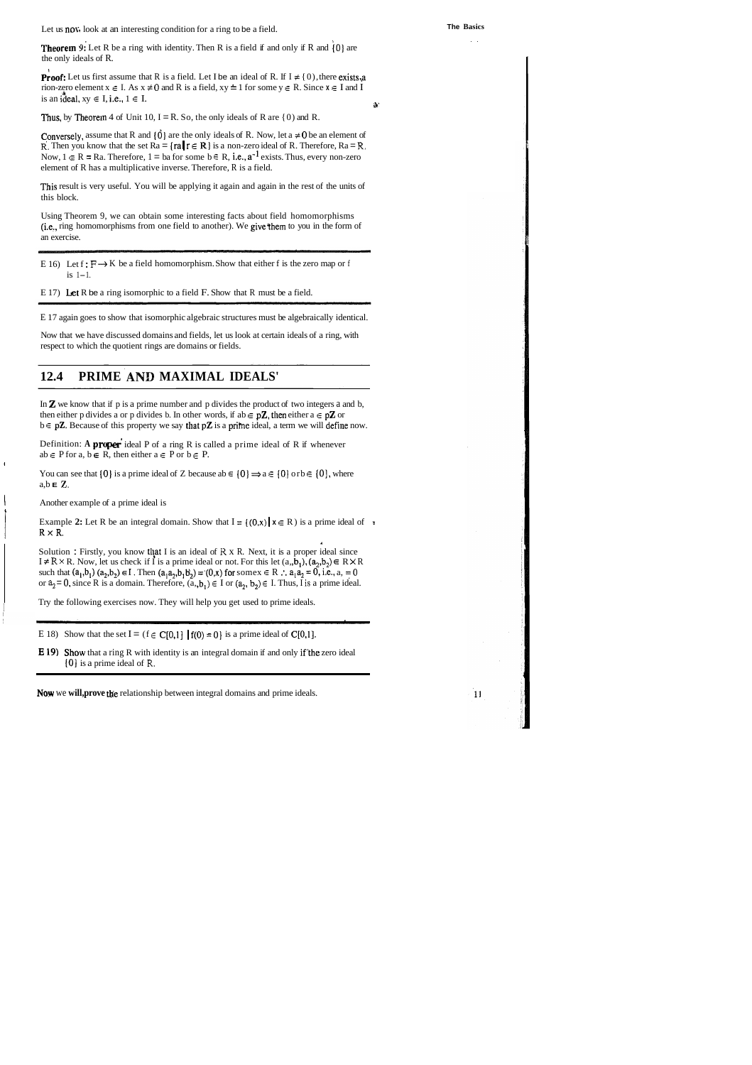**Theorem 9:** Let R be a ring with identity. Then R is a field if and only if R and  $\{0\}$  are the only ideals of R.

**Proof:** Let us first assume that R is a field. Let I be an ideal of R. If I  $\neq$  {0), there exists,a rion-zero element  $x \in I$ . As  $x \neq 0$  and R is a field,  $xy = 1$  for some  $y \in R$ . Since  $x \in I$  and I is an ideal,  $xy \in I$ , i.e.,  $1 \in I$ .

Thus, by Theorem 4 of Unit 10,  $I = R$ . So, the only ideals of R are {0) and R.

Let us now, look at an interesting condition for a ring to be a field.

. .

 $11$ 

Conversely, assume that R and  $\{0\}$  are the only ideals of R. Now, let a  $\neq 0$  be an element of **R.** Then you know that the set  $Ra = \{ra | r \in \mathbb{R}\}\)$  is a non-zero ideal of R. Therefore,  $Ra = R$ . Now,  $1 \in \mathbb{R} = \text{Ra}$ . Therefore,  $1 = \text{ba}$  for some  $b \in \mathbb{R}$ , i.e.,  $a^{-1}$  exists. Thus, every non-zero element of R has a multiplicative inverse. Therefore, R is a field.

This result is very useful. You will be applying it again and again in the rest of the units of this block.

You can see that  $\{0\}$  is a prime ideal of Z because ab  $\in \{0\} \Rightarrow a \in \{0\}$  or  $b \in \{0\}$ , where a,b **E Z.** 

Using Theorem 9, we can obtain some interesting facts about field homomorphisms (i.e., ring homomorphisms from one field to another). We givethem to you in the form of an exercise.

- E 16) Let  $f : F \to K$  be a field homomorphism. Show that either f is the zero map or f<br>is 1–1.<br>E 17) Let R be a ring isomorphic to a field F. Show that R must be a field. is  $1-1$ .
- E 17) Let R be a ring isomorphic to a field F. Show that R must be a field.

E 17 again goes to show that isomorphic algebraic structures must be algebraically identical.

**E 19)** Show that a ring R with identity is an integral domain if and only if the zero ideal **101** is a prime ideal of **R.** 

Now that we have discussed domains and fields, let us look at certain ideals of a ring, with respect to which the quotient rings are domains or fields.

### **12.4 PRIME AND MAXIMAL IDEALS'**

In  $\mathbb Z$  we know that if p is a prime number and p divides the product of two integers a and b, then either p divides a or p divides b. In other words, if ab  $\in$  p**Z**, then either a  $\in$  p**Z** or  $b \in p\mathbf{Z}$ . Because of this property we say that  $p\mathbf{Z}$  is a prime ideal, a term we will define now.

Definition: A **proper** ideal P of a ring R is called a prime ideal of R if whenever  $ab \in P$  for  $a, b \in R$ , then either  $a \in P$  or  $b \in P$ .

I

1 Another example of a prime ideal is

**I** 

Example 2: Let R be an integral domain. Show that  $I = \{(0, x) | x \in R \}$  is a prime ideal of  $\ast$  $R \times R$ .

**1** 

Solution : Firstly, you know that I is an ideal of  $R \times R$ . Next, it is a proper ideal since  $I \neq R \times R$ . Now, let us check if I is a prime ideal or not. For this let  $(a_1, b_1)$ ,  $(a_2, b_2) \in R \times R$ such that  $(a_1,b_1)$   $(a_2,b_2) \in I$ . Then  $(a_1a_2,b_1b_2)=(0,x)$  for some  $x \in R$  :  $a_1a_2=0$ , i.e.,  $a_1=0$ or  $a_2 = 0$ , since R is a domain. Therefore,  $(a_1, b_1) \in I$  or  $(a_2, b_2) \in I$ . Thus, I is a prime ideal.

Try the following exercises now. They will help you get used to prime ideals.

E 18) Show that the set  $I = (f \in C[0,1] | f(0) = 0)$  is a prime ideal of  $C[0,1]$ .

**Now** we **will, prove** tbe relationship between integral domains and prime ideals.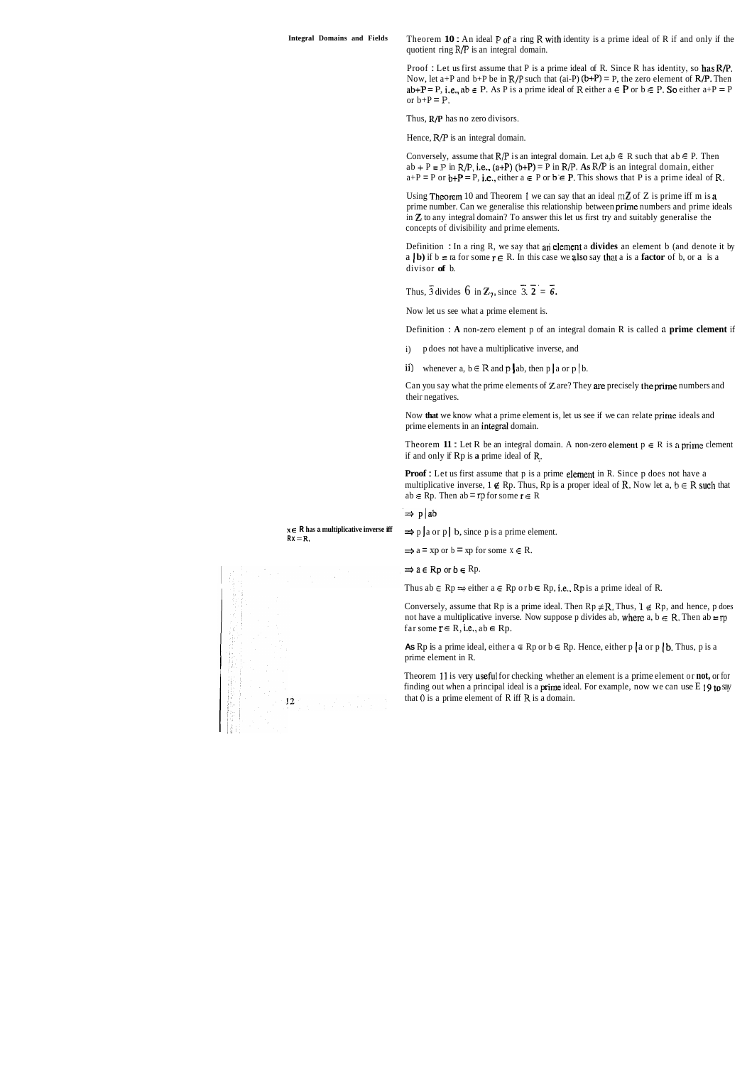Theorem **<sup>10</sup>**: An ideal **P** of a ring **R** with identity is a prime ideal of R if and only if the quotient ring R/P is an integral domain.

Proof : Let us first assume that P is a prime ideal of R. Since R has identity, so has R/P. Now, let  $a+P$  and  $b+P$  be in  $R/P$  such that (ai-P)  $(b+P) = P$ , the zero element of  $R/P$ . Then  $ab + P = P$ , i.e.,  $ab \in P$ . As P is a prime ideal of R either  $a \in P$  or  $b \in P$ . So either  $a + P = P$ or  $b+P = P$ .

Thus, **R/P** has no zero divisors.

Hence,  $R/P$  is an integral domain.

Conversely, assume that  $R/P$  is an integral domain. Let  $a,b \in R$  such that  $ab \in P$ . Then ab + P = P in R/P, i.e., (a+P) (b+P) = P in R/P. **As** R/P is an integral domain, either  $a+P = P$  or  $b+P = P$ , i.e., either  $a \in P$  or  $b \in P$ . This shows that P is a prime ideal of R.

Using Theorem 10 and Theorem 1 we can say that an ideal  $m\mathbb{Z}$  of  $Z$  is prime iff m is  $a$ prime number. Can we generalise this relationship between prime numbers and prime ideals in **Z** to any integral domain? To answer this let us first try and suitably generalise the concepts of divisibility and prime elements.

Theorem **11**: Let R be an integral domain. A non-zero element  $p \in R$  is a prime clement if and only if Rp is **a** prime ideal of **R.** 

**Proof :** Let us first assume that p is a prime element in R. Since p does not have a multiplicative inverse,  $1 \notin \mathbb{R}$  p. Thus,  $\mathbb{R}$  p is a proper ideal of  $\mathbb{R}$ . Now let  $a, b \in \mathbb{R}$  such that ab  $\in$  Rp. Then ab = rp for some  $r \in R$ 

 $\Rightarrow$  p | ab<br>  $\Rightarrow$  p | a or p | b, since p is a prime element.

 $\Rightarrow$  a = xp or b = xp for some  $x \in R$ .

 $\Rightarrow$  a  $\in$  Rp or  $b \in$  Rp.

Thus ab  $\in$  Rp  $\Rightarrow$  either  $a \in$  Rp or  $b \in$  Rp, i.e., Rp is a prime ideal of R.

Conversely, assume that Rp is a prime ideal. Then  $Rp \neq R$ , Thus,  $l \notin Rp$ , and hence, p does not have a multiplicative inverse. Now suppose p divides ab, where a,  $b \in R$ . Then ab = rp far some  $r \in R$ , i.e., ab  $\in$  Rp.

Definition : In a ring R, we say that an elem~nt a**divides** an element b (and denote it by a **b**) if  $b = ra$  for some  $r \in R$ . In this case we also say that a is a **factor** of b, or a is a divisor **of** b.

Thus,  $\overline{3}$  divides 6 in  $\mathbb{Z}_7$ , since  $\overline{3}$ .  $\overline{2} = \overline{6}$ .

**As** Rp is a prime ideal, either  $a \in \mathbb{R}$  p or  $b \in \mathbb{R}$ p. Hence, either p | a or p | b. Thus, p is a prime element in R.

Now let us see what a prime element is.

Theorem 11 is very useful for checking whether an element is a prime element or **not**, or for finding out when a principal ideal is a prime ideal. For example, now we can use E **19 to** say that 0 is a prime element of R iff **R** is a domain.



 $Rx = R$ .

 $x \in \mathbb{R}$  has a multiplicative inverse iff

Definition : **A** non-zero element p of an integral domain R is called **n prime clement** if

i) p does not have a multiplicative inverse, and

ii) whenever a,  $b \in R$  and  $p \mid ab$ , then  $p \mid a$  or  $p \mid b$ .

Can you say what the prime elements of **Z** are? They are precisely the prime numbers and their negatives.

Now **that** we know what a prime element is, let us see if we can relate prime ideals and prime elements in an integral domain.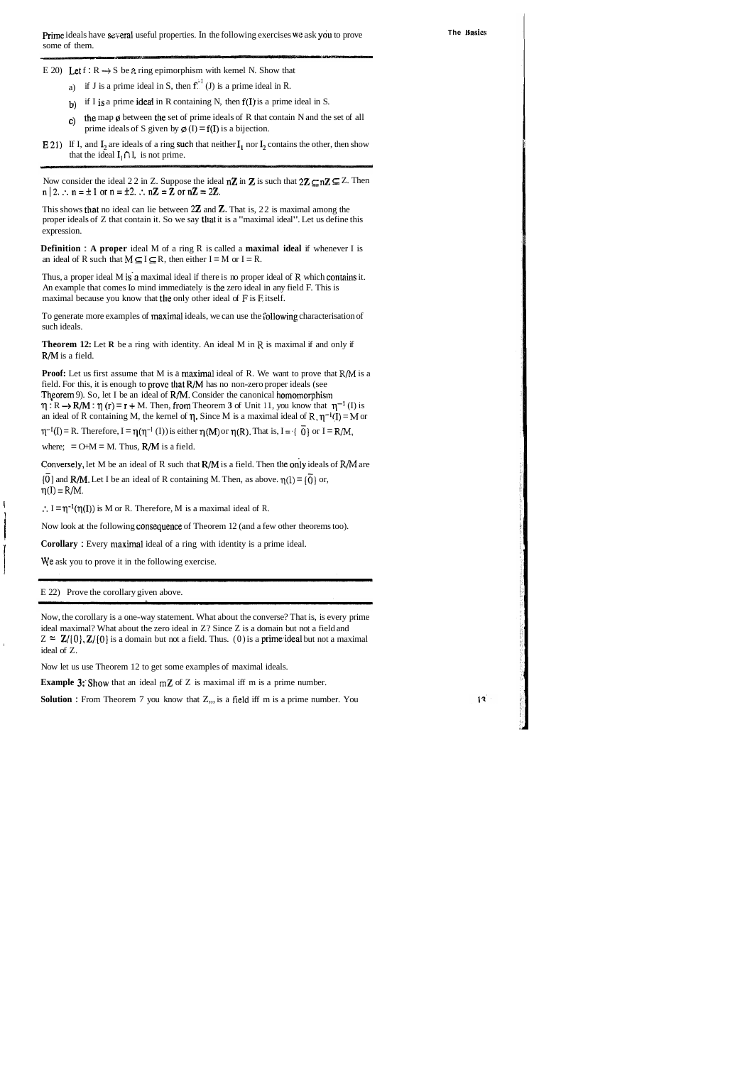E 20) Let  $f : R \rightarrow S$  be a ring epimorphism with kemel N. Show that

a) if J is a prime ideal in S, then  $f<sup>{+1}</sup>$  (J) is a prime ideal in R.

- b) if I is a prime ideal in R containing N, then  $f(I)$  is a prime ideal in S.
- c) the map  $\phi$  between the set of prime ideals of R that contain N and the set of all prime ideals of S given by  $\varphi$  (I) = f(I) is a bijection.
- E 21) If I, and I, are ideals of a ring such that neither  $I_1$  nor I, contains the other, then show that the ideal  $I_1 \cap I$ , is not prime.

Now consider the ideal 22 in Z. Suppose the ideal  $n\mathbb{Z}$  in  $\mathbb{Z}$  is such that  $2\mathbb{Z} \subseteq n\mathbb{Z} \subseteq \mathbb{Z}$ . Then  $n|2.$ :  $n=\pm 1$  or  $n=\pm 2$ . :  $n\mathbb{Z}=\mathbb{Z}$  or  $n\mathbb{Z}=2\mathbb{Z}$ .

This shows that no ideal can lie between  $2\mathbb{Z}$  and  $\mathbb{Z}$ . That is, 22 is maximal among the proper ideals of  $Z$  that contain it. So we say that it is a "maximal ideal". Let us define this expression.

**Definition** : **A proper** ideal M of a ring R is called a **maximal ideal** if whenever I is an ideal of R such that  $M \subseteq I \subseteq R$ , then either  $I = M$  or  $I = R$ .

To generate more examples of maximal ideals, we can use the following characterisation of such ideals.

**Theorem 12:** Let **R** be a ring with identity. An ideal M in **R** is maximal if and only if R/M is a field.

**Proof:** Let us first assume that M is a maximal ideal of R. We want to prove that R/M is a field. For this, it is enough to prove that R/M has no non-zero proper ideals (see Theorem 9). So, let I be an ideal of  $R/M$ . Consider the canonical homomorphism  $\eta: R \to R/M$ :  $\eta(r) = r + M$ . Then, from Theorem 3 of Unit 11, you know that  $\eta^{-1}(I)$  is an ideal of R containing M, the kernel of  $\eta$ . Since M is a maximal ideal of  $R$ ,  $\eta^{-1}(I) = M$  or

 $\eta^{-1}(I) = R$ . Therefore,  $I = \eta(\eta^{-1}(I))$  is either  $\eta(M)$  or  $\eta(R)$ . That is,  $I = \{\overrightarrow{0}\}\$  or  $I = R/M$ ,

where;  $= O+M = M$ . Thus,  $R/M$  is a field.

Conversely, let M be an ideal of R such that R/M is a field. Then the only ideals of R/M are

{0} and **R/M.** Let I be an ideal of R containing M. Then, as above.  $\eta(1) = {\overline{0}}$  or,  $\eta(I) = R/M$ .

 $\therefore I = \eta^{-1}(\eta(I))$  is M or R. Therefore, M is a maximal ideal of R.

Now look at the following consequence of Theorem 12 (and a few other theorems too).

**Corollary** : Every maximal ideal of a ring with identity is a prime ideal.

We ask you to prove it in the following exercise.

Thus, a proper ideal M is'a maximal ideal if there is no proper ideal of **R** which contains it. An example that comes Lo mind immediately is the zero ideal in any field F. This is maximal because you know that the only other ideal of **F** is E itself.

I

E 22) Prove the corollary given above.

Now, the corollary is a one-way statement. What about the converse? That is, is every prime ideal maximal? What about the zero ideal in Z? Since Z is a domain but not a field and  $Z \approx \mathbb{Z}/[0], \mathbb{Z}/[0]$  is a domain but not a field. Thus. (0) is a prime ideal but not a maximal ideal of Z.

Now let us use Theorem 12 to get some examples of maximal ideals.

**Example 3:** Show that an ideal mZ of Z is maximal iff m is a prime number.

**Solution :** From Theorem 7 you know that Z,,, is a field iff m is a prime number. You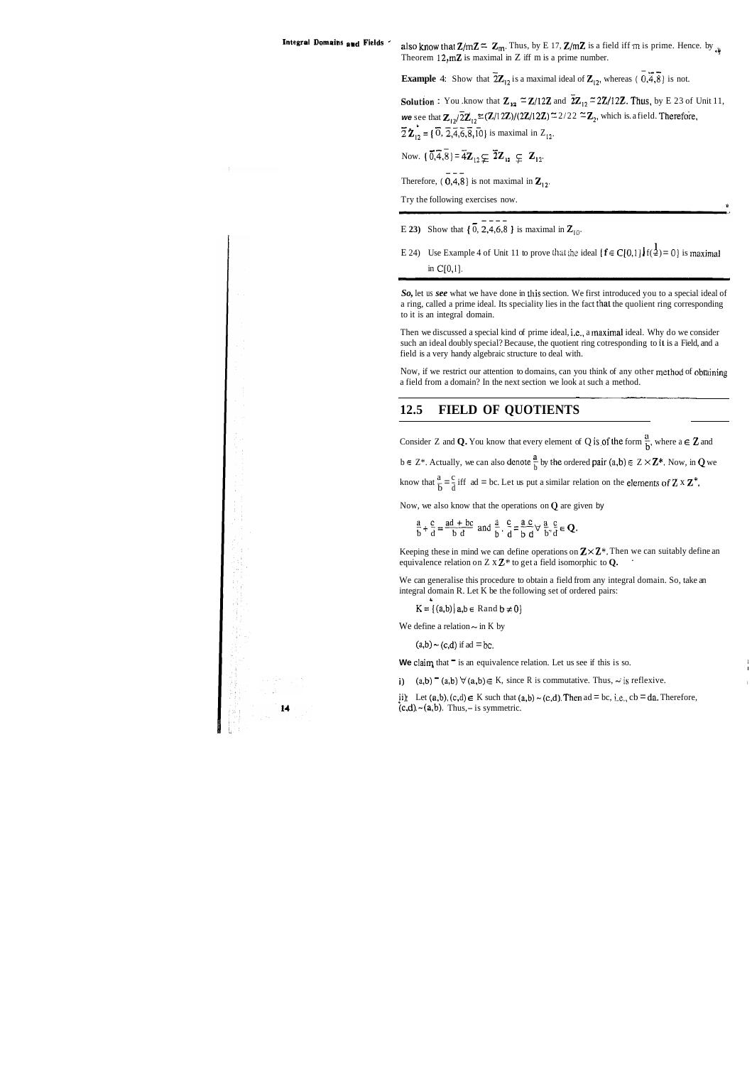**Integral Domains and Fields** also know that  $Z/mZ = Z_m$ . Thus, by E 17,  $Z/mZ$  is a field iff m is prime. Hence. by  $\frac{1}{\sqrt{N}}$ Theorem  $12, mZ$  is maximal in Z iff m is a prime number.

**Example** 4: Show that  $\overline{2}Z_{12}$  is a maximal ideal of  $Z_{12}$ , whereas (  $\overline{0,4,8}$ ) is not.

**Solution :** You .know that  $\mathbb{Z}_{12} \cong \mathbb{Z}/12\mathbb{Z}$  and  $\overline{2}\mathbb{Z}_{12} \cong 2\mathbb{Z}/12\mathbb{Z}$ . Thus, by E 23 of Unit 11, **we** see that  $\mathbf{Z}_{12}/\overline{2}\mathbf{Z}_{12} \cong (\mathbf{Z}/12\mathbf{Z})/(2\mathbf{Z}/12\mathbf{Z}) \cong 2/22 \cong \mathbf{Z}_2$ , which is. a field. Therefore,  $\overline{2}$  **Z**<sub>12</sub> = { $\overline{0}$ ,  $\overline{2}$ , $\overline{4}$ , $\overline{6}$ , $\overline{8}$ , $\overline{10}$ } is maximal in Z<sub>12</sub>.

Now.  $\{ \overline{0}, \overline{4}, \overline{8} \} = \overline{4} \mathbb{Z}_{12} \subsetneq \overline{2} \mathbb{Z}_{12} \subsetneq \mathbb{Z}_{12}$ .

Therefore, (  $\overline{0,4,8}$  is not maximal in  $\overline{z}_{12}$ .

Try the following exercises now.

- **E** 23) Show that {  $\overline{0}$ , 2,4,6,8 } is maximal in Z<sub>10</sub>.
- E 24) Use Example 4 of Unit 11 to prove that the ideal  $\{f \in C[0,1]\}\{f(\frac{1}{2})=0\}$  is maximal in C[0,1].

Now, if we restrict our attention to domains, can you think of any other method of obtaining a field from a domain? In the next section we look at such a method.

*So,* let us *see* what we have done in this section. We first introduced you to a special ideal of a ring, called a prime ideal. Its speciality lies in the fact that the quolient ring corresponding to it is an integral domain.

Keeping these in mind we can define operations on  $\mathbb{Z} \times \mathbb{Z}^*$ . Then we can suitably define an equivalence relation on Z x **Z\*** to get a field isomorphic to **Q.** .

Then we discussed a special kind of prime ideal, i.e., a maximal ideal. Why do we consider such an ideal doubly special? Because, the quotient ring cotresponding to il is a Field, and a field is a very handy algebraic structure to deal with.

### **12.5 FIELD OF QUOTIENTS**

Consider Z and **Q.** You know that every element of Q is of the form  $\frac{a}{b}$ , where a  $\in \mathbb{Z}$  and  $b \in \mathbb{Z}^*$ . Actually, we can also denote  $\frac{a}{b}$  by the ordered pair  $(a,b) \in \mathbb{Z} \times \mathbb{Z}^*$ . Now, in **Q** we know that  $\frac{a}{b} = \frac{c}{d}$  iff ad = bc. Let us put a similar relation on the elements of **Z** x **Z**<sup>\*</sup>.

Now, we also know that the operations on **Q** are given by

 $\frac{a}{b} + \frac{c}{d} = \frac{ad + bc}{b d}$  and  $\frac{a}{b} \cdot \frac{c}{d} = \frac{a c}{b d} \forall \frac{a}{b d} \frac{c}{d} \in \mathbf{Q}$ .

We can generalise this procedure to obtain a field from any integral domain. So, take an integral domain R. Let K be the following set of ordered pairs:

 $K = \{(a,b) | a,b \in \text{Rand } b \neq 0\}$ 

We define a relation  $\sim$  in K by

*b* 

 $(a,b)$   $\sim$   $(c,d)$  if ad  $=$   $bc$ .

**We claim that**  $\overline{\phantom{a}}$  is an equivalence relation. Let us see if this is so.

i)  $(a,b) = (a,b) \forall (a,b) \in K$ , since R is commutative. Thus,  $\sim$  is reflexive.

ii) Let (a,b),  $(c,d) \in K$  such that  $(a,b) \sim (c,d)$ . Then  $ad = bc$ , i.e.,  $cb = da$ . Therefore,  $(c,d) \sim (a,b)$ . Thus, – is symmetric.

I

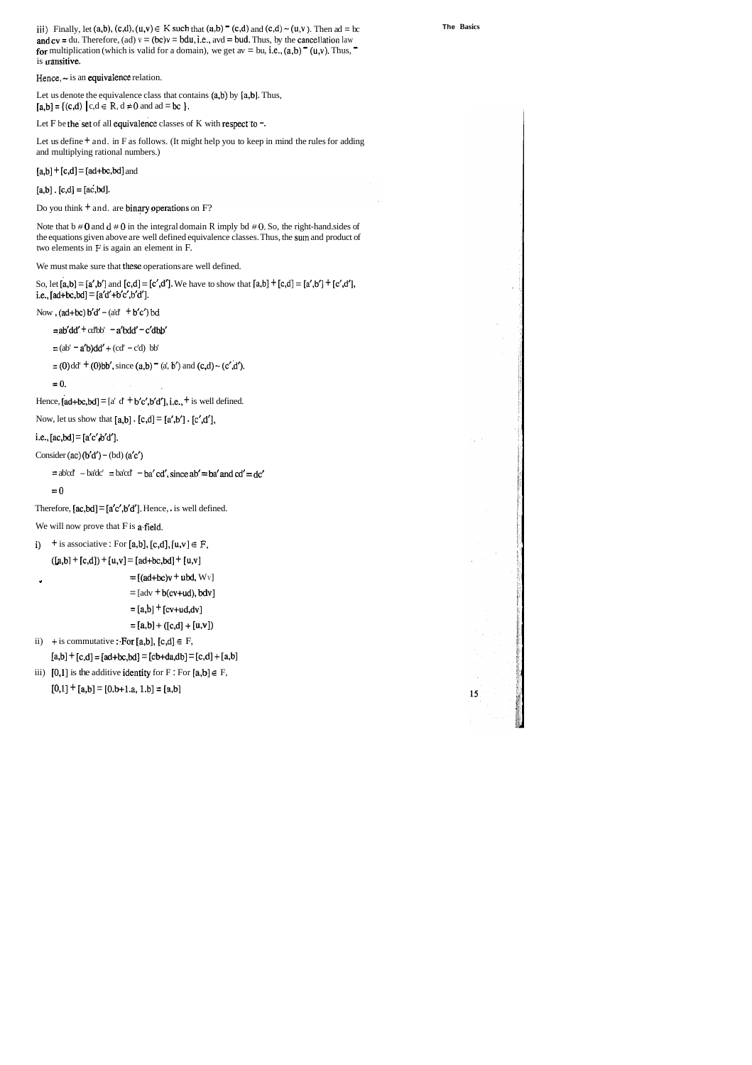**iii**) Finally, let (a,b), (c,d), (u,v)  $\in$  **K** such that (a,b)  $\equiv$  (c,d) and (c,d)  $\sim$  (u,v). Then ad = bc and  $cv = du$ . Therefore, (ad)  $v = (bc)v = bdu$ , i.e., avd = bud. Thus, by the cancellation law for multiplication (which is valid for a domain), we get av = bu, i.e.,  $(a,b)$  (u,v). Thus, is transitive.

Hence,  $\sim$  is an equivalence relation.

Let us denote the equivalence class that contains  $(a,b)$  by  $[a,b]$ . Thus,  $[a,b] = \{ (c,d) \mid c,d \in \mathbb{R}, d \neq 0 \text{ and } ad = bc \}.$ 

Let F be the set of all equivalence classes of K with respect to  $-$ .

Let us define  $+$  and. in F as follows. (It might help you to keep in mind the rules for adding and multiplying rational numbers.)

 $[a,b] + [c,d] = [ad+bc,bd]$  and

 $[a,b]$ .  $[c,d] = [ac,bd]$ .

Do you think  $+$  and. are binary operations on F?

Note that b # 0 and d # **0** in the integral domain R imply bd # *0.* So, the right-hand. sides of the equations given above are well defined equivalence classes. Thus, the surn and product of two elements in F is again an element in F.

We must make sure that these operations are well defined.

So, let  $[a,b] = [a',b']$  and  $[c,d] = [c',d']$ . We have to show that  $[a,b] + [c,d] = [a',b'] + [c',d']$ , i.e.,  $[ad+bc,bd] = [a'd'+b'c',b'd'].$ 

Now ,  $(ad+bc) b'd' - (ad' + b'c') bd$ 

 $=$ ab'dd' + cd'bb' - a'bdd' - c'dbb'

 $=$ (ab'  $=$  a'b)dd' + (cd'  $-$  c'd) bb'

 $=$  (0) dd' + (0)bb', since (a,b)  $=$  (a', b') and (c,d) ~ (c',d').

```
= 0.
```
Hence,  $[ad+bc,bd] = [a' d' + b'c', b'd'],$  i.e.,  $+$  is well defined.

Now, let us show that  $[a,b]$  .  $[c,d] = [a',b']$  .  $[c',d'],$ 

i.e.,  $[ac,bd] = [a'c',b'd']$ .

Consider (ac)  $(b'd') - (bd) (a'c')$ 

 $=$ ab'cd'  $-$  ba'dc'  $=$  ba'cd'  $-$  ba' cd', since ab'  $=$  ba' and cd'  $=$  dc'

 $=0$ 

Therefore,  $[ac,bd] = [a'c',b'd']$ . Hence, is well defined.

We will now prove that  $F$  is a field.

```
i) + is associative : For [a,b], [c,d], [u,v] \in F,
```

```
([a,b] + [c,d]) + [u,v] = [ad+bc,bd] + [u,v]
```

```
+ [ (ad+bc)v + ubd, Wv ]
```

```
=[\text{adv} + \text{b}(\text{cv+ud}), \text{bdv}]
```

```
=[a,b] + [cv+ud, dv]
```

```
=[a,b]+([c,d]+[u,v])
```

```
ii) + is commutative : For [a,b], [c,d] \in F,
```

```
[a,b] + [c,d] = [ad+bc,bd] = [cb+da,db] = [c,d] + [a,b]
```

```
iii) [0,1] is the additive identity for F : For [a,b] \in F,
```

```
[0,1] + [a,b] = [0,b+1,a, 1,b] = [a,b]
```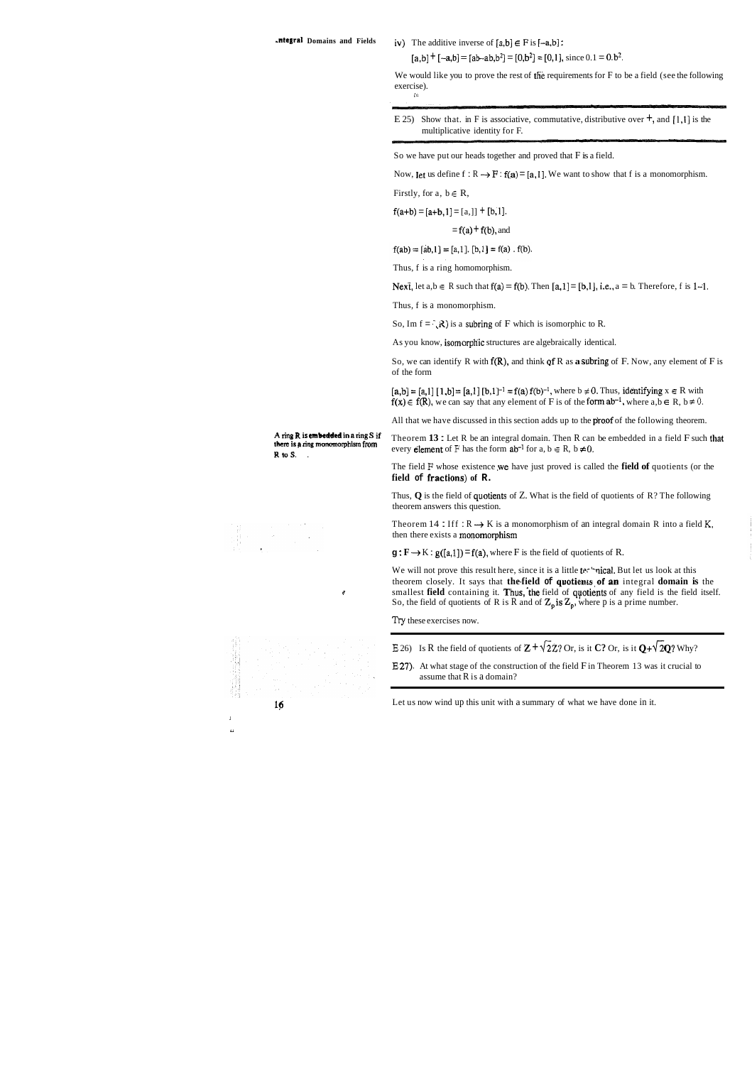### **.ntegral Domains and Fields**  $iv)$  The additive inverse of  $[a,b] \in F$  is  $[-a,b]$ :

 $[a,b] + [-a,b] = [ab - ab, b^2] = [0,b^2] = [0,1]$ , since  $0.1 = 0.0^2$ .

We would like you to prove the rest of the requirements for F to be a field (see the following exercise). **ir.** 

E 25) Show that. in F is associative, commutative, distributive over  $\pm$ , and [1,1] is the multiplicative identity for F.

So we have put our heads together and proved that F is a field.

Now, let us define  $f : R \rightarrow F : f(a) = [a, 1]$ . We want to show that f is a monomorphism.

Firstly, for  $a, b \in R$ ,

 $f(a+b) = [a+b,1] = [a,1] + [b,1].$ 

 $= f(a) + f(b)$ , and

 $f(ab) = [ab, 1] = [a, 1]$ ,  $[b, 1] = f(a)$ .  $f(b)$ .

Thus, f is a ring homomorphism.

Next, let  $a,b \in R$  such that  $f(a) = f(b)$ . Then  $[a,1] = [b,1]$ , i.e.,  $a = b$ . Therefore, f is 1-1.

Thus, f is a monomorphism.

So, Im  $f = \overline{R}$ ) is a subring of F which is isomorphic to R.

As you know, isomorphic structures are algebraically identical.

The field F whose existence we have just proved is called the **field of** quotients (or the **field of** fraetions) **of R.** 

Thus,  $Q$  is the field of quotients of Z. What is the field of quotients of R? The following theorem answers this question.

Theorem 14 : Iff  $: R \rightarrow K$  is a monomorphism of an integral domain R into a field K, then there exists a monornorphism

 $g: F \rightarrow K: g([a,1]) = f(a)$ , where F is the field of quotients of R.

We will not prove this result here, since it is a little technical. But let us look at this theorem closely. It says that **the-field of quotients of an** integral **domain is** the **F** smallest **field** containing it. Thus, the field of quotients of any field is the field itself. So, the field of quotients of R is R and of  $Z_p$  is  $Z_p$ , where p is a prime number.

So, we can identify R with f(R), and think qf R as **a** subring of F. Now, any element of F is of the form

 $[a,b] = [a,1] [1,b] = [a,1] [b,1]^{-1} = f(a) f(b)^{-1}$ , where  $b \neq 0$ . Thus, identifying  $x \in R$  with  $f(x) \in f(R)$ , we can say that any element of F is of the form  $ab^{-1}$ , where  $a, b \in R$ ,  $b \ne 0$ .

All that we have discussed in this section adds up to the **proof** of the following theorem.

A ring **R** is embedded in a ring S if Theorem 13 : Let R be an integral domain. Then R can be embedded in a field F such that there is a ring monomorphism from  $\frac{1}{2}$  and  $\frac{1}{2}$  be the form obal for a let  $P$  b  $\neq$ **there is a ring monomorphism from** every **element** of F has the form  $ab^{-1}$  for  $a, b \in R$ ,  $b \ne 0$ .

- **E** 26) Is R the field of quotients of  $\mathbf{Z} + \sqrt{2}Z$ ? Or, is it **C**? Or, is it  $\mathbf{Q} + \sqrt{2}\mathbf{Q}$ ? Why?
- **E** 27)- At what stage of the construction of the field F in Theorem 13 was it crucial to assume that R is a domain?

*Try* these exercises now.

**15** Let us now wind up this unit with a summary of what we have done in it.



L.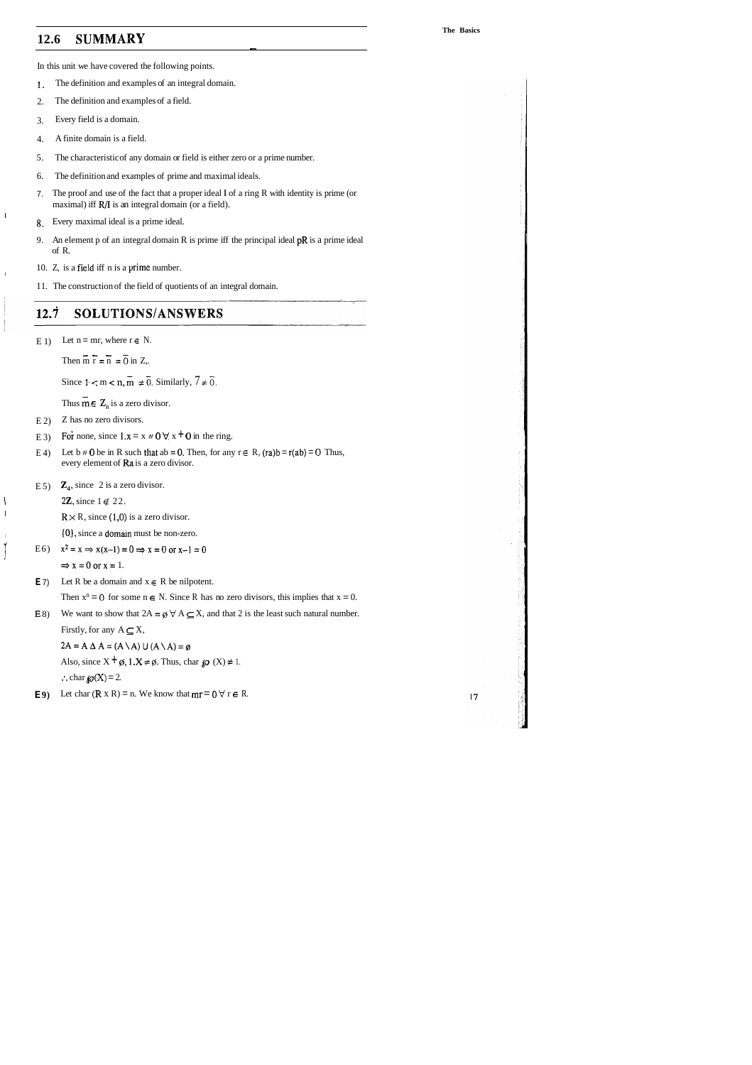## **12.6 SUMMARY** -

In this unit we have covered the following points.

- 5. The characteristic of any domain or field is either zero or a prime number.
- 6. The definition and examples of prime and maximal ideals.
- 7. The proof and use of the fact that a proper ideal I of a ring R with identity is prime (or maximal) iff R/I is an integral domain (or a field).
- **8.** Every maximal ideal is a prime ideal.
- 9. An element p of an integral domain R is prime iff the principal ideal pR is a prime ideal of R.
- 10. Z, is a field iff n is a prime number.
- 1. The definition and examples of an integral domain.
- 2. The definition and examples of a field.
- 3. Every field is a domain.
- 4. A finite domain is a field.

I

11. The construction of the field of quotients of an integral domain.

### $12.\dot{7}$ SOLUTIONS/ANSWERS

E 1) Let  $n = mr$ , where  $r \in N$ .

Then m  $\overline{r} = \overline{n} = 0$  in Z,.

Since  $1 < m < n$ ,  $\overline{m} \neq 0$ . Similarly,  $7 \neq 0$ .

Thus  $\overline{m} \in \mathbb{Z}_n$  is a zero divisor.

- $E$  2) Z has no zero divisors.
- E 3) For none, since  $1 \cdot x = x \neq 0 \forall x \pm 0$  in the ring.
- E 4) Let  $b \ne 0$  be in R such that  $ab = 0$ . Then, for any  $r \in R$ ,  $(ra)b = r(ab) = 0$  Thus, every element of Ka is a zero divisor.
- E 5)  $\mathbb{Z}_4$ , since 2 is a zero divisor.

2**Z**, since  $1 \notin 22$ .

**R** $\times$  **R**, since (1,0) is a zero divisor.

<sup>I</sup>(OJ, since a doman must be non-zero.

E6)  $x^2 = x \Rightarrow x(x-1) = 0 \Rightarrow x = 0 \text{ or } x-1 = 0$ 

 $\Rightarrow$  x = 0 or x = 1.

**E** 7) Let R be a domain and  $x \in R$  be nilpotent.

Then  $x^n = 0$  for some  $n \in N$ . Since R has no zero divisors, this implies that  $x = 0$ .

E 8) We want to show that  $2A = \emptyset \forall A \subseteq X$ , and that 2 is the least such natural number. Firstly, for any  $A \subseteq X$ ,

 $2A = A \Delta A = (A \Delta) \cup (A \Delta) = \emptyset$ 

Also, since  $X + \emptyset$ ,  $1.X \neq \emptyset$ . Thus, char  $\{0 \}(X) \neq 1$ . :. char  $\mathcal{P}(X) = 2$ .

**E9**) Let char  $(R \times R) = n$ . We know that  $mr = 0 \forall r \in R$ .

*7*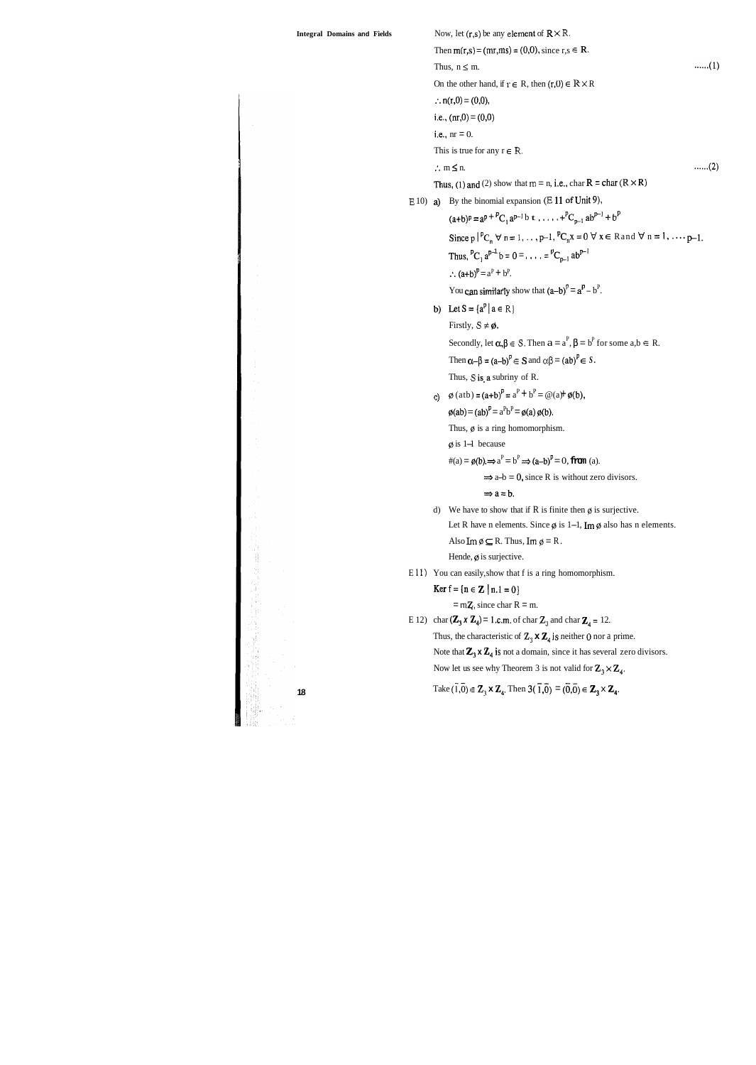| <b>Integral Domains and Fields</b> |            | Now, let $(r,s)$ be any element of $R \times R$ .                                                                                                                                  |  |  |  |  |
|------------------------------------|------------|------------------------------------------------------------------------------------------------------------------------------------------------------------------------------------|--|--|--|--|
|                                    |            | Then $m(r,s) = (mr, ms) = (0,0)$ , since $r, s \in R$ .                                                                                                                            |  |  |  |  |
|                                    |            | (1)<br>Thus, $n \leq m$ .                                                                                                                                                          |  |  |  |  |
|                                    |            | On the other hand, if $r \in R$ , then $(r,0) \in \mathbb{R} \times R$                                                                                                             |  |  |  |  |
|                                    |            | $\therefore$ n(r,0) = (0,0),                                                                                                                                                       |  |  |  |  |
|                                    |            | i.e., $(nr,0) = (0,0)$                                                                                                                                                             |  |  |  |  |
|                                    |            | i.e., $nr = 0$ .                                                                                                                                                                   |  |  |  |  |
|                                    |            | This is true for any $r \in R$ .                                                                                                                                                   |  |  |  |  |
|                                    |            | (2)<br>$\therefore$ m $\leq$ n.                                                                                                                                                    |  |  |  |  |
|                                    |            | Thus, (1) and (2) show that $m = n$ , i.e., char $R = char (R \times R)$                                                                                                           |  |  |  |  |
|                                    | $E(10)$ a) | By the binomial expansion $(E 11$ of Unit 9),                                                                                                                                      |  |  |  |  |
|                                    |            | $(a+b)^p = a^p + {}^pC_1 a^{p-1} b t \dots + {}^pC_{p-1} ab^{p-1} + b^p$                                                                                                           |  |  |  |  |
|                                    |            | Since $p \mid {^pC_n} \forall n = 1, , p-1, {^pC_n}x = 0 \forall x \in \text{Rand } \forall n = 1, , p-1.$                                                                         |  |  |  |  |
|                                    |            | Thus, ${}^{p}C_1 a^{p-1} b = 0 =  = {}^{p}C_{n-1} ab^{p-1}$                                                                                                                        |  |  |  |  |
|                                    |            | $\therefore$ (a+b) <sup>p</sup> = a <sup>P</sup> + b <sup>P</sup> .                                                                                                                |  |  |  |  |
|                                    |            | You can similarly show that $(a-b)^p = a^p - b^p$ .                                                                                                                                |  |  |  |  |
|                                    |            | b) Let $S = \{a^p   a \in R\}$                                                                                                                                                     |  |  |  |  |
|                                    |            | Firstly, $S \neq \emptyset$ .                                                                                                                                                      |  |  |  |  |
|                                    |            | Secondly, let $\alpha, \beta \in S$ . Then $a = a^P$ , $\beta = b^P$ for some $a, b \in R$ .                                                                                       |  |  |  |  |
|                                    |            | Then $\alpha-\beta = (a-b)^p \in S$ and $\alpha\beta = (ab)^p \in S$ .                                                                                                             |  |  |  |  |
|                                    |            | Thus, S is a subriny of R.                                                                                                                                                         |  |  |  |  |
|                                    | $\ddot{c}$ | $\phi$ (atb) = (a+b) <sup>P</sup> = a <sup>P</sup> + b <sup>P</sup> = @(a)+ $\phi$ (b),                                                                                            |  |  |  |  |
|                                    |            | $\phi(ab) = (ab)^P = a^Pb^P = \phi(a)\phi(b).$                                                                                                                                     |  |  |  |  |
|                                    |            | Thus, $\phi$ is a ring homomorphism.                                                                                                                                               |  |  |  |  |
|                                    |            | $\varphi$ is 1–1 because                                                                                                                                                           |  |  |  |  |
|                                    |            | $\#(a) = \phi(b) \Rightarrow a^P = b^P \Rightarrow (a-b)^P = 0$ , from (a).                                                                                                        |  |  |  |  |
|                                    |            | $\Rightarrow$ a-b = 0, since R is without zero divisors.                                                                                                                           |  |  |  |  |
|                                    |            | $\Rightarrow$ a = b.                                                                                                                                                               |  |  |  |  |
|                                    | d)         | We have to show that if R is finite then $\phi$ is surjective.                                                                                                                     |  |  |  |  |
|                                    |            | Let R have n elements. Since $\emptyset$ is 1–1, Im $\emptyset$ also has n elements.                                                                                               |  |  |  |  |
|                                    |            | Also Im $\emptyset \subseteq R$ . Thus, Im $\emptyset = R$ .                                                                                                                       |  |  |  |  |
|                                    |            | Hende, $\varnothing$ is surjective.                                                                                                                                                |  |  |  |  |
|                                    |            | E 11) You can easily, show that f is a ring homomorphism.                                                                                                                          |  |  |  |  |
|                                    |            | <b>Ker</b> $f = \{n \in \mathbb{Z} \mid n.1 = 0\}$                                                                                                                                 |  |  |  |  |
|                                    |            | $=mZ$ , since char R = m.                                                                                                                                                          |  |  |  |  |
|                                    |            | E 12) char $(\mathbb{Z}_3 \times \mathbb{Z}_4) = 1$ .c.m. of char $\mathbb{Z}_3$ and char $\mathbb{Z}_4 = 12$ .                                                                    |  |  |  |  |
|                                    |            | Thus, the characteristic of $\mathbb{Z}_3 \times \mathbb{Z}_4$ is neither 0 nor a prime.                                                                                           |  |  |  |  |
|                                    |            | Note that $\mathbb{Z}_3 \times \mathbb{Z}_4$ is not a domain, since it has several zero divisors.                                                                                  |  |  |  |  |
|                                    |            | Now let us see why Theorem 3 is not valid for $\mathbb{Z}_3 \times \mathbb{Z}_4$ .                                                                                                 |  |  |  |  |
| 18                                 |            | Take $(\overline{1},\overline{0}) \in \mathbb{Z}_3 \times \mathbb{Z}_4$ . Then $3(\overline{1},\overline{0}) = (\overline{0},\overline{0}) \in \mathbb{Z}_3 \times \mathbb{Z}_4$ . |  |  |  |  |
|                                    |            |                                                                                                                                                                                    |  |  |  |  |
|                                    |            |                                                                                                                                                                                    |  |  |  |  |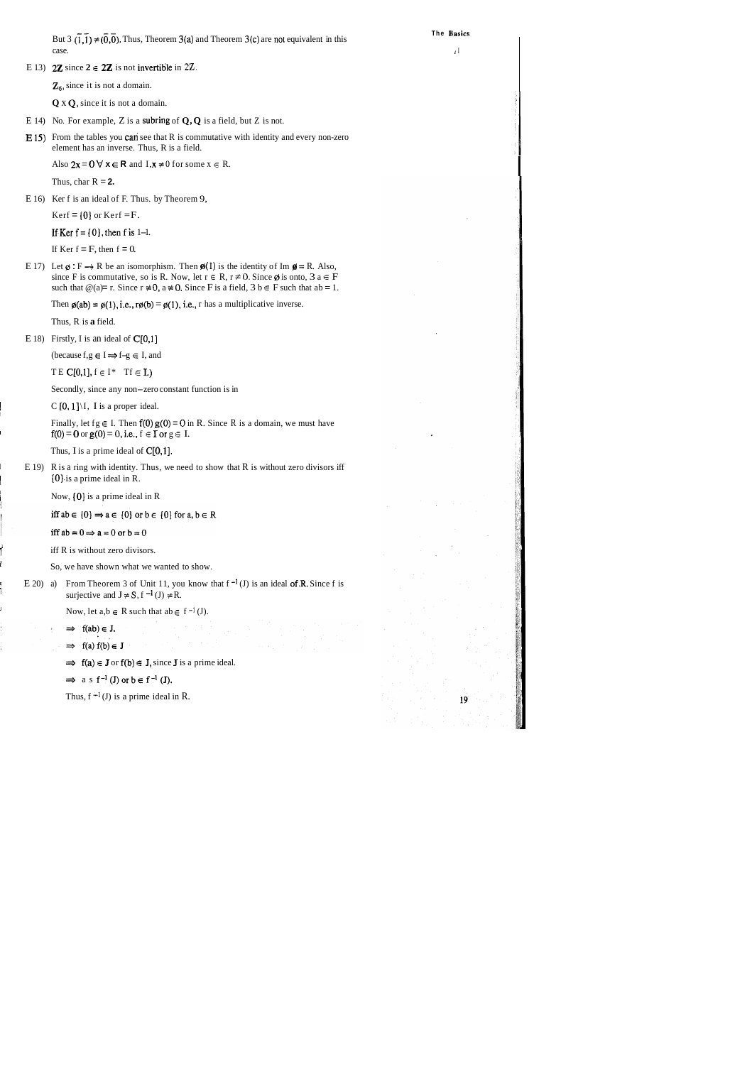**The Hasics** 

But  $3(\overline{1},\overline{1}) \neq (\overline{0},\overline{0})$ . Thus, Theorem 3(a) and Theorem 3(c) are not equivalent in this case.  $\blacksquare$ case.  $\blacksquare$ E 13) **2Z** since  $2 \in 2\mathbb{Z}$  is not invertible in 2Z. Z<sub>6</sub>, since it is not a domain. **Q** x **Q,** since it is not a domain. E 14) No. For example, Z is a subring of **Q, Q** is a field, but Z is not. **E 15)** From the tables you **can** see that R is commutative with identity and every non-zero element has an inverse. Thus, R is a field. Also  $2x = 0$   $\forall x \in \mathbb{R}$  and  $I.x \neq 0$  for some  $x \in \mathbb{R}$ . Thus, char  $R = 2$ . E 16) Ker f is an ideal of F. Thus. by Theorem 9, Kerf =  $\{0\}$  or Kerf = F. If Ker  $f = \{0\}$ , then f is 1-1. If Ker  $f = F$ , then  $f = 0$ . E 17) Let  $\emptyset$ : F  $\rightarrow$  R be an isomorphism. Then  $\emptyset$ (1) is the identity of Im  $\emptyset$  = R. Also, since F is commutative, so is R. Now, let  $r \in R$ ,  $r \ne 0$ . Since  $\emptyset$  is onto,  $3 a \in F$ such that  $\mathcal{Q}(a) = r$ . Since  $r \neq 0$ ,  $a \neq 0$ . Since F is a field,  $3 b \in F$  such that  $ab = 1$ . Then  $\varphi(ab) = \varphi(1)$ , i.e.,  $\tau \varphi(b) = \varphi(1)$ , i.e., r has a multiplicative inverse. Thus, R is **a** field. E 18) Firstly, I is an ideal of  $C[0,1]$ (because  $f, g \in I \implies f-g \in I$ , and TE  $C[0,1]$ ,  $f \in I^*$  Tf  $\in$  **I**.) Secondly, since any non-zero constant function is in  $\mathcal{C}$  [0, 1] \ I, I is a proper ideal. Finally, let fg  $\in$  I. Then  $f(0) g(0) = 0$  in R. Since R is a domain, we must have  $f(0) = 0$  or  $g(0) = 0$ , i.e.,  $f \in I$  or  $g \in I$ . Thus, I is a prime ideal of  $C[0,1]$ . E 19) R is a ring with identity. Thus, we need to show that R is without zero divisors iff  $[0]$  is a prime ideal in R. Now,  $\{0\}$  is a prime ideal in R iff  $ab \in \{0\} \Rightarrow a \in \{0\}$  or  $b \in \{0\}$  for  $a, b \in R$ iff  $ab = 0 \Rightarrow a = 0$  or  $b = 0$ iff R is without zero divisors. So, we have shown what we wanted to show. E 20) a) From Theorem 3 of Unit 11, you know that  $f^{-1}(J)$  is an ideal of R, Since f is surjective and  $J \neq S$ ,  $f^{-1}(J) \neq R$ . Now, let  $a,b \in R$  such that  $ab \in f^{-1}(J)$ .  $\implies$  f(ab)  $\in$  J. ⇒ f(a)  $f(b) \in J$ <br>
⇒  $f(a) \in J$  or  $f(b) \in J$ , since **J** is a prime ideal.  $\Rightarrow$  as f<sup>-1</sup>(J) or  $b \in f^{-1}(J)$ . Thus,  $f^{-1}(J)$  is a prime ideal in R. 19

I

į.